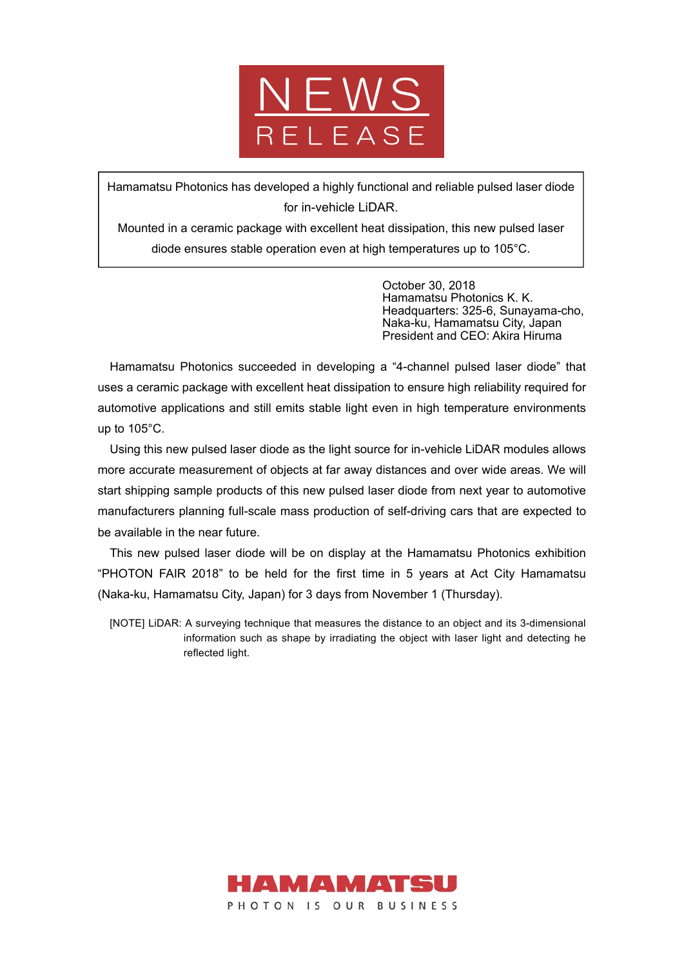

Hamamatsu Photonics has developed a highly functional and reliable pulsed laser diode for in-vehicle LiDAR.

Mounted in a ceramic package with excellent heat dissipation, this new pulsed laser diode ensures stable operation even at high temperatures up to 105°C.

> October 30, 2018 Hamamatsu Photonics K. K. Headquarters: 325-6, Sunayama-cho, Naka-ku, Hamamatsu City, Japan President and CEO: Akira Hiruma

Hamamatsu Photonics succeeded in developing a "4-channel pulsed laser diode" that uses a ceramic package with excellent heat dissipation to ensure high reliability required for automotive applications and still emits stable light even in high temperature environments up to 105°C.

Using this new pulsed laser diode as the light source for in-vehicle LiDAR modules allows more accurate measurement of objects at far away distances and over wide areas. We will start shipping sample products of this new pulsed laser diode from next year to automotive manufacturers planning full-scale mass production of self-driving cars that are expected to be available in the near future.

This new pulsed laser diode will be on display at the Hamamatsu Photonics exhibition "PHOTON FAIR 2018" to be held for the first time in 5 years at Act City Hamamatsu (Naka-ku, Hamamatsu City, Japan) for 3 days from November 1 (Thursday).

[NOTE] LiDAR: A surveying technique that measures the distance to an object and its 3-dimensional information such as shape by irradiating the object with laser light and detecting he reflected light.

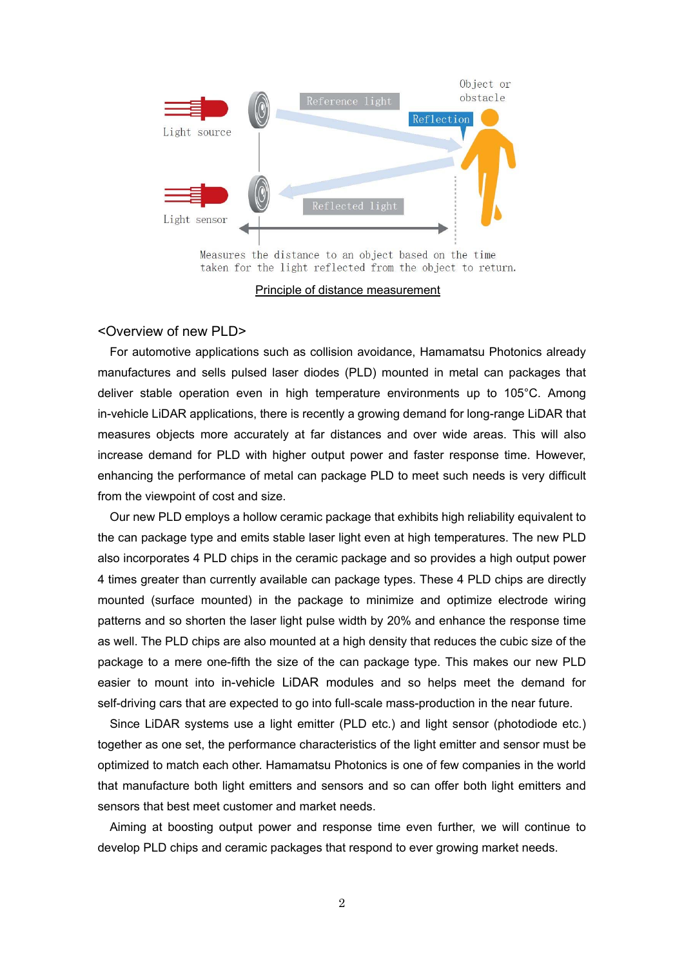

Measures the distance to an object based on the time taken for the light reflected from the object to return.

Principle of distance measurement

#### <Overview of new PLD>

For automotive applications such as collision avoidance, Hamamatsu Photonics already manufactures and sells pulsed laser diodes (PLD) mounted in metal can packages that deliver stable operation even in high temperature environments up to 105°C. Among in-vehicle LiDAR applications, there is recently a growing demand for long-range LiDAR that measures objects more accurately at far distances and over wide areas. This will also increase demand for PLD with higher output power and faster response time. However, enhancing the performance of metal can package PLD to meet such needs is very difficult from the viewpoint of cost and size.

Our new PLD employs a hollow ceramic package that exhibits high reliability equivalent to the can package type and emits stable laser light even at high temperatures. The new PLD also incorporates 4 PLD chips in the ceramic package and so provides a high output power 4 times greater than currently available can package types. These 4 PLD chips are directly mounted (surface mounted) in the package to minimize and optimize electrode wiring patterns and so shorten the laser light pulse width by 20% and enhance the response time as well. The PLD chips are also mounted at a high density that reduces the cubic size of the package to a mere one-fifth the size of the can package type. This makes our new PLD easier to mount into in-vehicle LiDAR modules and so helps meet the demand for self-driving cars that are expected to go into full-scale mass-production in the near future.

Since LiDAR systems use a light emitter (PLD etc.) and light sensor (photodiode etc.) together as one set, the performance characteristics of the light emitter and sensor must be optimized to match each other. Hamamatsu Photonics is one of few companies in the world that manufacture both light emitters and sensors and so can offer both light emitters and sensors that best meet customer and market needs.

Aiming at boosting output power and response time even further, we will continue to develop PLD chips and ceramic packages that respond to ever growing market needs.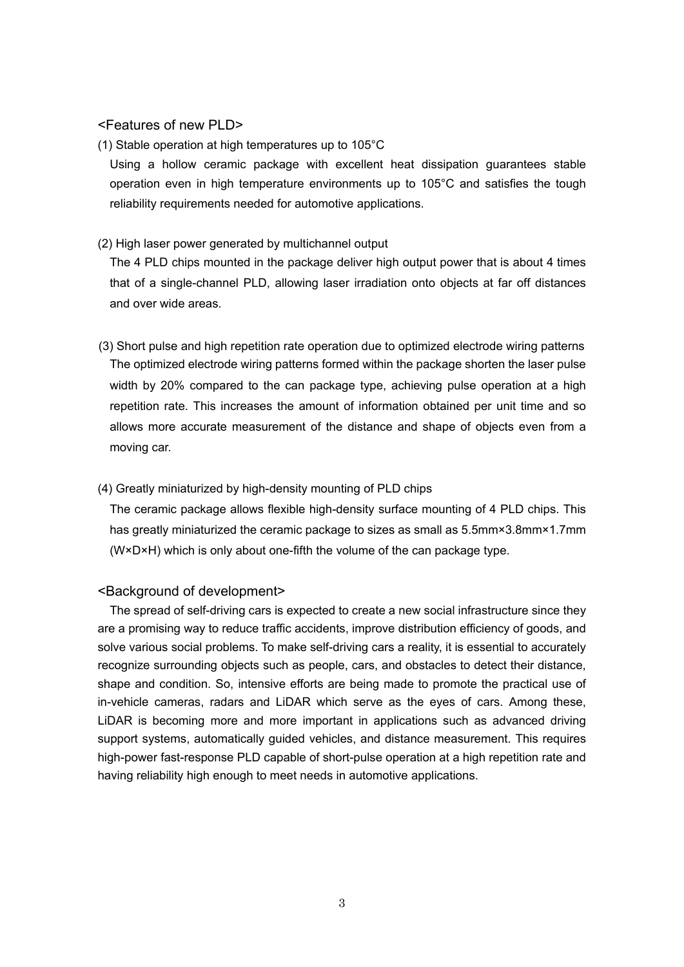### <Features of new PLD>

(1) Stable operation at high temperatures up to 105°C

Using a hollow ceramic package with excellent heat dissipation guarantees stable operation even in high temperature environments up to 105°C and satisfies the tough reliability requirements needed for automotive applications.

#### (2) High laser power generated by multichannel output

The 4 PLD chips mounted in the package deliver high output power that is about 4 times that of a single-channel PLD, allowing laser irradiation onto objects at far off distances and over wide areas.

(3) Short pulse and high repetition rate operation due to optimized electrode wiring patterns The optimized electrode wiring patterns formed within the package shorten the laser pulse width by 20% compared to the can package type, achieving pulse operation at a high repetition rate. This increases the amount of information obtained per unit time and so allows more accurate measurement of the distance and shape of objects even from a moving car.

## (4) Greatly miniaturized by high-density mounting of PLD chips

The ceramic package allows flexible high-density surface mounting of 4 PLD chips. This has greatly miniaturized the ceramic package to sizes as small as 5.5mm×3.8mm×1.7mm (W×D×H) which is only about one-fifth the volume of the can package type.

## <Background of development>

The spread of self-driving cars is expected to create a new social infrastructure since they are a promising way to reduce traffic accidents, improve distribution efficiency of goods, and solve various social problems. To make self-driving cars a reality, it is essential to accurately recognize surrounding objects such as people, cars, and obstacles to detect their distance, shape and condition. So, intensive efforts are being made to promote the practical use of in-vehicle cameras, radars and LiDAR which serve as the eyes of cars. Among these, LiDAR is becoming more and more important in applications such as advanced driving support systems, automatically guided vehicles, and distance measurement. This requires high-power fast-response PLD capable of short-pulse operation at a high repetition rate and having reliability high enough to meet needs in automotive applications.